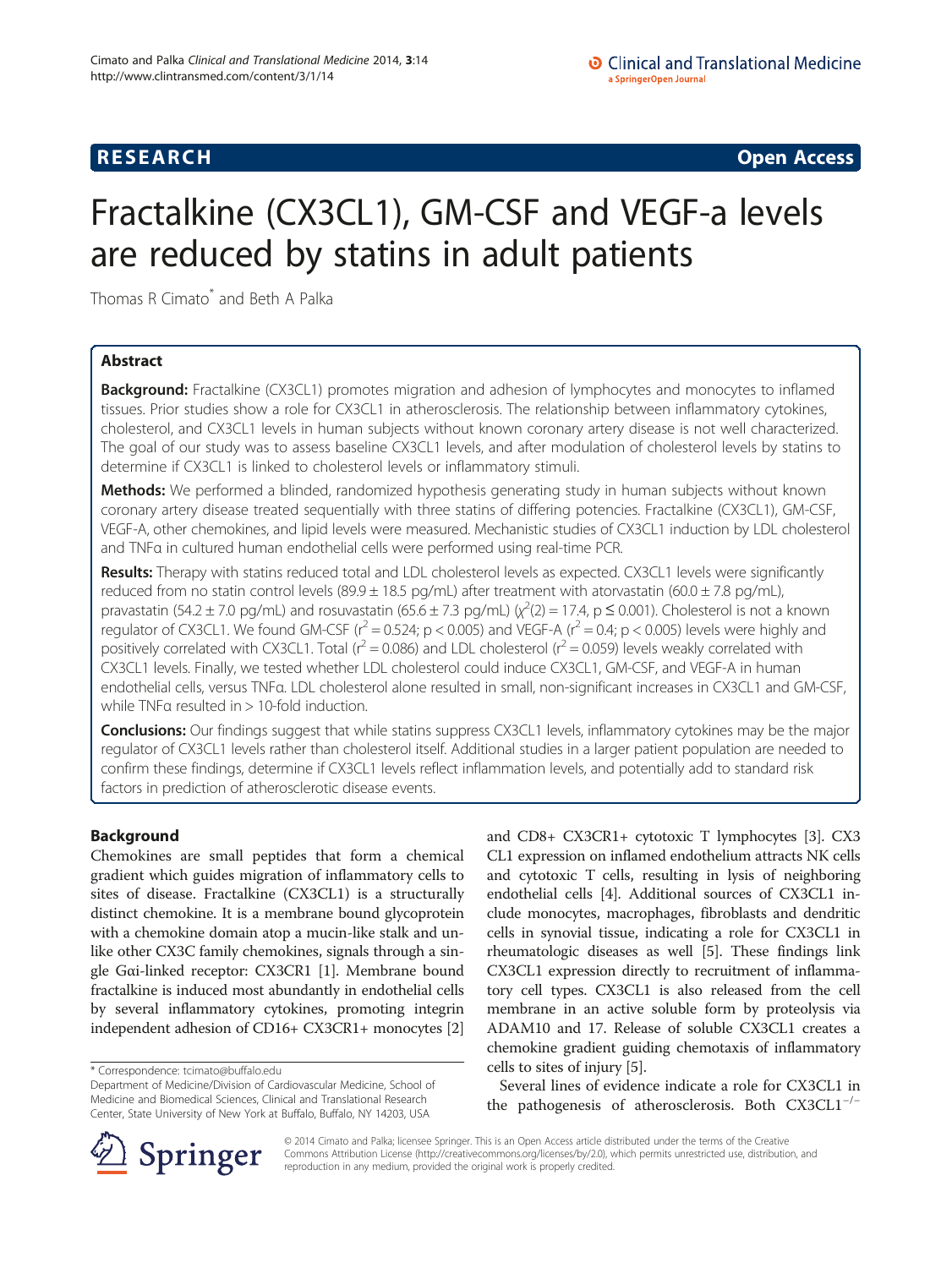**RESEARCH CHINESE ARCH CHINESE ARCH CHINESE ARCH <b>CHINESE ARCH** 

# Fractalkine (CX3CL1), GM-CSF and VEGF-a levels are reduced by statins in adult patients

Thomas R Cimato<sup>\*</sup> and Beth A Palka

# Abstract

**Background:** Fractalkine (CX3CL1) promotes migration and adhesion of lymphocytes and monocytes to inflamed tissues. Prior studies show a role for CX3CL1 in atherosclerosis. The relationship between inflammatory cytokines, cholesterol, and CX3CL1 levels in human subjects without known coronary artery disease is not well characterized. The goal of our study was to assess baseline CX3CL1 levels, and after modulation of cholesterol levels by statins to determine if CX3CL1 is linked to cholesterol levels or inflammatory stimuli.

Methods: We performed a blinded, randomized hypothesis generating study in human subjects without known coronary artery disease treated sequentially with three statins of differing potencies. Fractalkine (CX3CL1), GM-CSF, VEGF-A, other chemokines, and lipid levels were measured. Mechanistic studies of CX3CL1 induction by LDL cholesterol and TNFα in cultured human endothelial cells were performed using real-time PCR.

Results: Therapy with statins reduced total and LDL cholesterol levels as expected. CX3CL1 levels were significantly reduced from no statin control levels (89.9  $\pm$  18.5 pg/mL) after treatment with atorvastatin (60.0  $\pm$  7.8 pg/mL), pravastatin (54.2 ± 7.0 pg/mL) and rosuvastatin (65.6 ± 7.3 pg/mL) ( $\chi^2$ (2) = 17.4, p ≤ 0.001). Cholesterol is not a known regulator of CX3CL1. We found GM-CSF ( $r^2$  = 0.524; p < 0.005) and VEGF-A ( $r^2$  = 0.4; p < 0.005) levels were highly and positively correlated with CX3CL1. Total ( $r^2$  = 0.086) and LDL cholesterol ( $r^2$  = 0.059) levels weakly correlated with CX3CL1 levels. Finally, we tested whether LDL cholesterol could induce CX3CL1, GM-CSF, and VEGF-A in human endothelial cells, versus TNFα. LDL cholesterol alone resulted in small, non-significant increases in CX3CL1 and GM-CSF, while TNFα resulted in > 10-fold induction.

**Conclusions:** Our findings suggest that while statins suppress CX3CL1 levels, inflammatory cytokines may be the major regulator of CX3CL1 levels rather than cholesterol itself. Additional studies in a larger patient population are needed to confirm these findings, determine if CX3CL1 levels reflect inflammation levels, and potentially add to standard risk factors in prediction of atherosclerotic disease events.

# Background

Chemokines are small peptides that form a chemical gradient which guides migration of inflammatory cells to sites of disease. Fractalkine (CX3CL1) is a structurally distinct chemokine. It is a membrane bound glycoprotein with a chemokine domain atop a mucin-like stalk and unlike other CX3C family chemokines, signals through a single Gαi-linked receptor: CX3CR1 [\[1](#page-9-0)]. Membrane bound fractalkine is induced most abundantly in endothelial cells by several inflammatory cytokines, promoting integrin independent adhesion of CD16+ CX3CR1+ monocytes [[2](#page-9-0)]

and CD8+ CX3CR1+ cytotoxic T lymphocytes [\[3](#page-9-0)]. CX3 CL1 expression on inflamed endothelium attracts NK cells and cytotoxic T cells, resulting in lysis of neighboring endothelial cells [[4\]](#page-9-0). Additional sources of CX3CL1 include monocytes, macrophages, fibroblasts and dendritic cells in synovial tissue, indicating a role for CX3CL1 in rheumatologic diseases as well [\[5](#page-9-0)]. These findings link CX3CL1 expression directly to recruitment of inflammatory cell types. CX3CL1 is also released from the cell membrane in an active soluble form by proteolysis via ADAM10 and 17. Release of soluble CX3CL1 creates a chemokine gradient guiding chemotaxis of inflammatory cells to sites of injury [[5\]](#page-9-0).

Several lines of evidence indicate a role for CX3CL1 in the pathogenesis of atherosclerosis. Both CX3CL1−/<sup>−</sup>



© 2014 Cimato and Palka; licensee Springer. This is an Open Access article distributed under the terms of the Creative Commons Attribution License (<http://creativecommons.org/licenses/by/2.0>), which permits unrestricted use, distribution, and reproduction in any medium, provided the original work is properly credited.

<sup>\*</sup> Correspondence: [tcimato@buffalo.edu](mailto:tcimato@buffalo.edu)

Department of Medicine/Division of Cardiovascular Medicine, School of Medicine and Biomedical Sciences, Clinical and Translational Research Center, State University of New York at Buffalo, Buffalo, NY 14203, USA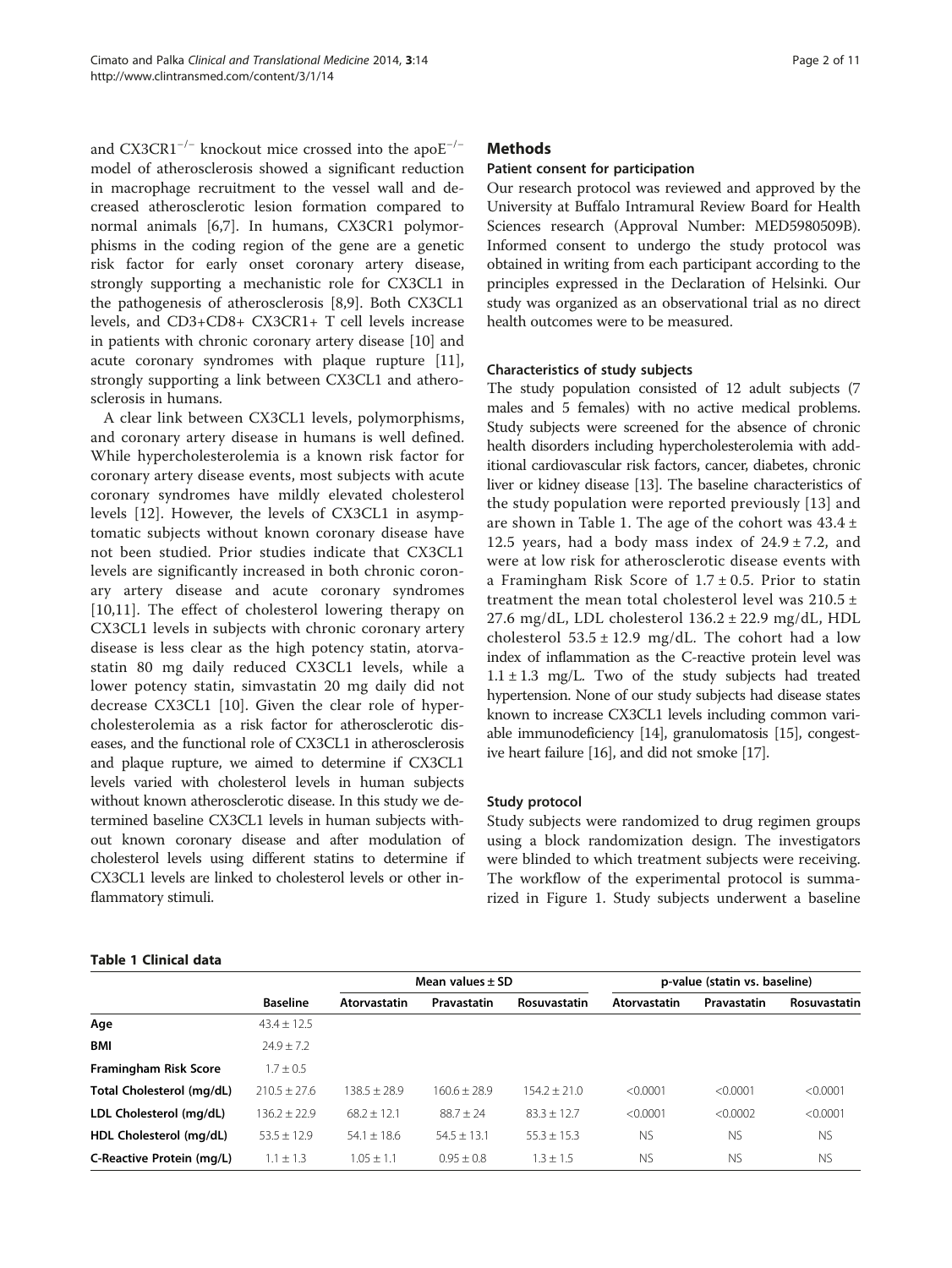<span id="page-1-0"></span>and CX3CR1−/<sup>−</sup> knockout mice crossed into the apoE−/<sup>−</sup> model of atherosclerosis showed a significant reduction in macrophage recruitment to the vessel wall and decreased atherosclerotic lesion formation compared to normal animals [\[6,7](#page-9-0)]. In humans, CX3CR1 polymorphisms in the coding region of the gene are a genetic risk factor for early onset coronary artery disease, strongly supporting a mechanistic role for CX3CL1 in the pathogenesis of atherosclerosis [[8,9\]](#page-9-0). Both CX3CL1 levels, and CD3+CD8+ CX3CR1+ T cell levels increase in patients with chronic coronary artery disease [\[10](#page-9-0)] and acute coronary syndromes with plaque rupture [\[11](#page-9-0)], strongly supporting a link between CX3CL1 and atherosclerosis in humans.

A clear link between CX3CL1 levels, polymorphisms, and coronary artery disease in humans is well defined. While hypercholesterolemia is a known risk factor for coronary artery disease events, most subjects with acute coronary syndromes have mildly elevated cholesterol levels [\[12](#page-9-0)]. However, the levels of CX3CL1 in asymptomatic subjects without known coronary disease have not been studied. Prior studies indicate that CX3CL1 levels are significantly increased in both chronic coronary artery disease and acute coronary syndromes [[10,11](#page-9-0)]. The effect of cholesterol lowering therapy on CX3CL1 levels in subjects with chronic coronary artery disease is less clear as the high potency statin, atorvastatin 80 mg daily reduced CX3CL1 levels, while a lower potency statin, simvastatin 20 mg daily did not decrease CX3CL1 [\[10](#page-9-0)]. Given the clear role of hypercholesterolemia as a risk factor for atherosclerotic diseases, and the functional role of CX3CL1 in atherosclerosis and plaque rupture, we aimed to determine if CX3CL1 levels varied with cholesterol levels in human subjects without known atherosclerotic disease. In this study we determined baseline CX3CL1 levels in human subjects without known coronary disease and after modulation of cholesterol levels using different statins to determine if CX3CL1 levels are linked to cholesterol levels or other inflammatory stimuli.

# **Methods**

# Patient consent for participation

Our research protocol was reviewed and approved by the University at Buffalo Intramural Review Board for Health Sciences research (Approval Number: MED5980509B). Informed consent to undergo the study protocol was obtained in writing from each participant according to the principles expressed in the Declaration of Helsinki. Our study was organized as an observational trial as no direct health outcomes were to be measured.

# Characteristics of study subjects

The study population consisted of 12 adult subjects (7 males and 5 females) with no active medical problems. Study subjects were screened for the absence of chronic health disorders including hypercholesterolemia with additional cardiovascular risk factors, cancer, diabetes, chronic liver or kidney disease [\[13](#page-9-0)]. The baseline characteristics of the study population were reported previously [[13](#page-9-0)] and are shown in Table 1. The age of the cohort was  $43.4 \pm$ 12.5 years, had a body mass index of  $24.9 \pm 7.2$ , and were at low risk for atherosclerotic disease events with a Framingham Risk Score of 1.7 ± 0.5. Prior to statin treatment the mean total cholesterol level was 210.5 ± 27.6 mg/dL, LDL cholesterol 136.2 ± 22.9 mg/dL, HDL cholesterol  $53.5 \pm 12.9$  mg/dL. The cohort had a low index of inflammation as the C-reactive protein level was  $1.1 \pm 1.3$  mg/L. Two of the study subjects had treated hypertension. None of our study subjects had disease states known to increase CX3CL1 levels including common variable immunodeficiency [\[14\]](#page-9-0), granulomatosis [\[15\]](#page-9-0), congestive heart failure [\[16](#page-9-0)], and did not smoke [\[17\]](#page-9-0).

# Study protocol

Study subjects were randomized to drug regimen groups using a block randomization design. The investigators were blinded to which treatment subjects were receiving. The workflow of the experimental protocol is summarized in Figure [1](#page-2-0). Study subjects underwent a baseline

#### Table 1 Clinical data

|                              | <b>Baseline</b> | Mean values $\pm$ SD |               |                | p-value (statin vs. baseline) |             |              |
|------------------------------|-----------------|----------------------|---------------|----------------|-------------------------------|-------------|--------------|
|                              |                 | <b>Atorvastatin</b>  | Pravastatin   | Rosuvastatin   | Atorvastatin                  | Pravastatin | Rosuvastatin |
| Age                          | $43.4 + 12.5$   |                      |               |                |                               |             |              |
| <b>BMI</b>                   | $74.9 + 7.2$    |                      |               |                |                               |             |              |
| <b>Framingham Risk Score</b> | $1.7 + 0.5$     |                      |               |                |                               |             |              |
| Total Cholesterol (mg/dL)    | $210.5 + 27.6$  | 138.5 + 28.9         | 160.6 + 28.9  | $154.2 + 21.0$ | < 0.0001                      | < 0.0001    | < 0.0001     |
| LDL Cholesterol (mg/dL)      | $136.2 + 22.9$  | $68.2 + 12.1$        | $88.7 + 24$   | $83.3 + 12.7$  | < 0.0001                      | < 0.0002    | < 0.0001     |
| HDL Cholesterol (mg/dL)      | $53.5 + 12.9$   | $54.1 + 18.6$        | $54.5 + 13.1$ | $55.3 + 15.3$  | <b>NS</b>                     | <b>NS</b>   | <b>NS</b>    |
| C-Reactive Protein (mg/L)    | $1.1 + 1.3$     | $1.05 + 1.1$         | $0.95 + 0.8$  | $1.3 \pm 1.5$  | <b>NS</b>                     | <b>NS</b>   | <b>NS</b>    |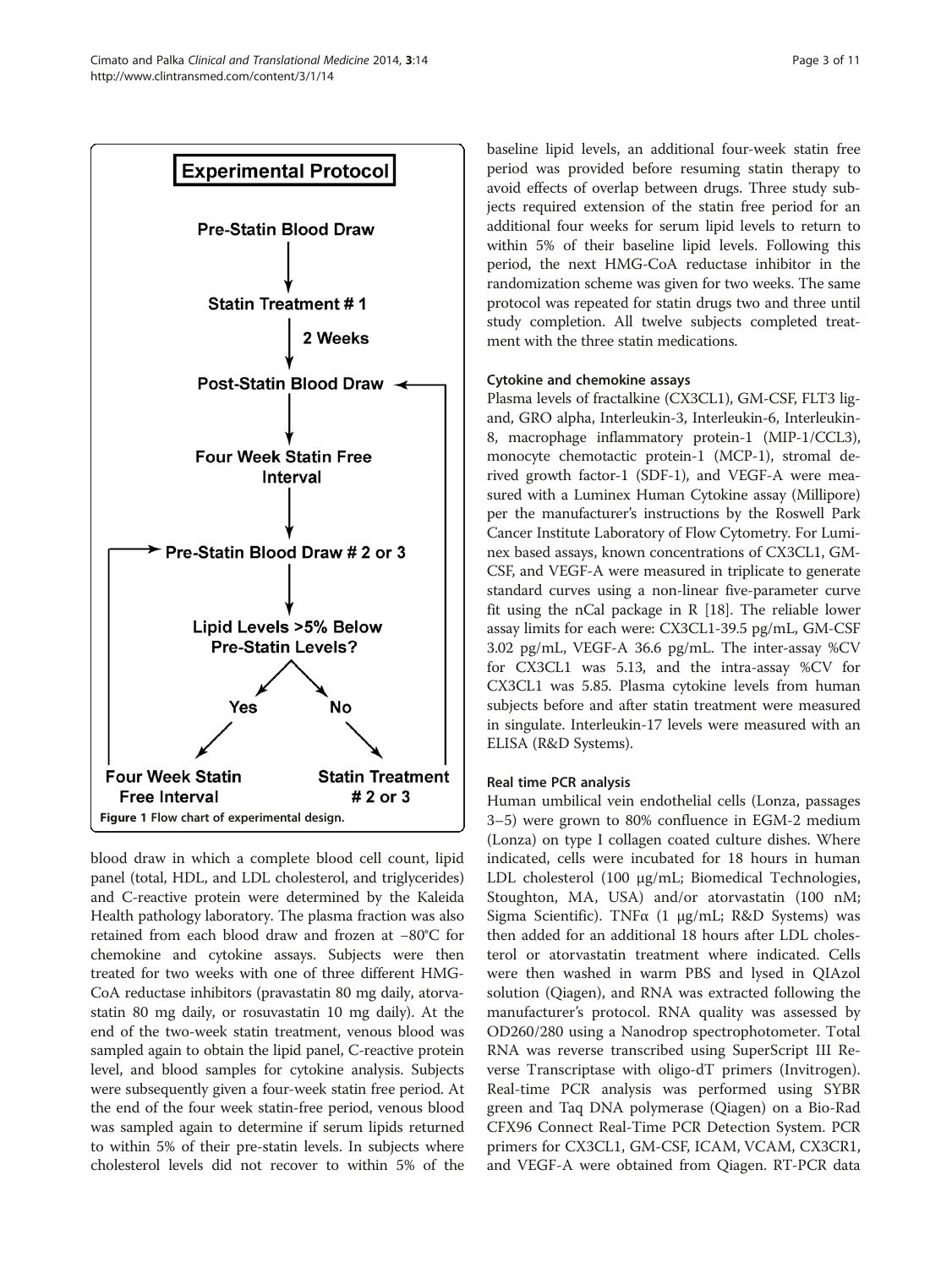<span id="page-2-0"></span>

blood draw in which a complete blood cell count, lipid panel (total, HDL, and LDL cholesterol, and triglycerides) and C-reactive protein were determined by the Kaleida Health pathology laboratory. The plasma fraction was also retained from each blood draw and frozen at −80°C for chemokine and cytokine assays. Subjects were then treated for two weeks with one of three different HMG-CoA reductase inhibitors (pravastatin 80 mg daily, atorvastatin 80 mg daily, or rosuvastatin 10 mg daily). At the end of the two-week statin treatment, venous blood was sampled again to obtain the lipid panel, C-reactive protein level, and blood samples for cytokine analysis. Subjects were subsequently given a four-week statin free period. At the end of the four week statin-free period, venous blood was sampled again to determine if serum lipids returned to within 5% of their pre-statin levels. In subjects where cholesterol levels did not recover to within 5% of the baseline lipid levels, an additional four-week statin free period was provided before resuming statin therapy to avoid effects of overlap between drugs. Three study subjects required extension of the statin free period for an additional four weeks for serum lipid levels to return to within 5% of their baseline lipid levels. Following this period, the next HMG-CoA reductase inhibitor in the randomization scheme was given for two weeks. The same protocol was repeated for statin drugs two and three until study completion. All twelve subjects completed treatment with the three statin medications.

# Cytokine and chemokine assays

Plasma levels of fractalkine (CX3CL1), GM-CSF, FLT3 ligand, GRO alpha, Interleukin-3, Interleukin-6, Interleukin-8, macrophage inflammatory protein-1 (MIP-1/CCL3), monocyte chemotactic protein-1 (MCP-1), stromal derived growth factor-1 (SDF-1), and VEGF-A were measured with a Luminex Human Cytokine assay (Millipore) per the manufacturer's instructions by the Roswell Park Cancer Institute Laboratory of Flow Cytometry. For Luminex based assays, known concentrations of CX3CL1, GM-CSF, and VEGF-A were measured in triplicate to generate standard curves using a non-linear five-parameter curve fit using the nCal package in R [\[18\]](#page-9-0). The reliable lower assay limits for each were: CX3CL1-39.5 pg/mL, GM-CSF 3.02 pg/mL, VEGF-A 36.6 pg/mL. The inter-assay %CV for CX3CL1 was 5.13, and the intra-assay %CV for CX3CL1 was 5.85. Plasma cytokine levels from human subjects before and after statin treatment were measured in singulate. Interleukin-17 levels were measured with an ELISA (R&D Systems).

# Real time PCR analysis

Human umbilical vein endothelial cells (Lonza, passages 3–5) were grown to 80% confluence in EGM-2 medium (Lonza) on type I collagen coated culture dishes. Where indicated, cells were incubated for 18 hours in human LDL cholesterol (100 μg/mL; Biomedical Technologies, Stoughton, MA, USA) and/or atorvastatin (100 nM; Sigma Scientific). TNFα (1 μg/mL; R&D Systems) was then added for an additional 18 hours after LDL cholesterol or atorvastatin treatment where indicated. Cells were then washed in warm PBS and lysed in QIAzol solution (Qiagen), and RNA was extracted following the manufacturer's protocol. RNA quality was assessed by OD260/280 using a Nanodrop spectrophotometer. Total RNA was reverse transcribed using SuperScript III Reverse Transcriptase with oligo-dT primers (Invitrogen). Real-time PCR analysis was performed using SYBR green and Taq DNA polymerase (Qiagen) on a Bio-Rad CFX96 Connect Real-Time PCR Detection System. PCR primers for CX3CL1, GM-CSF, ICAM, VCAM, CX3CR1, and VEGF-A were obtained from Qiagen. RT-PCR data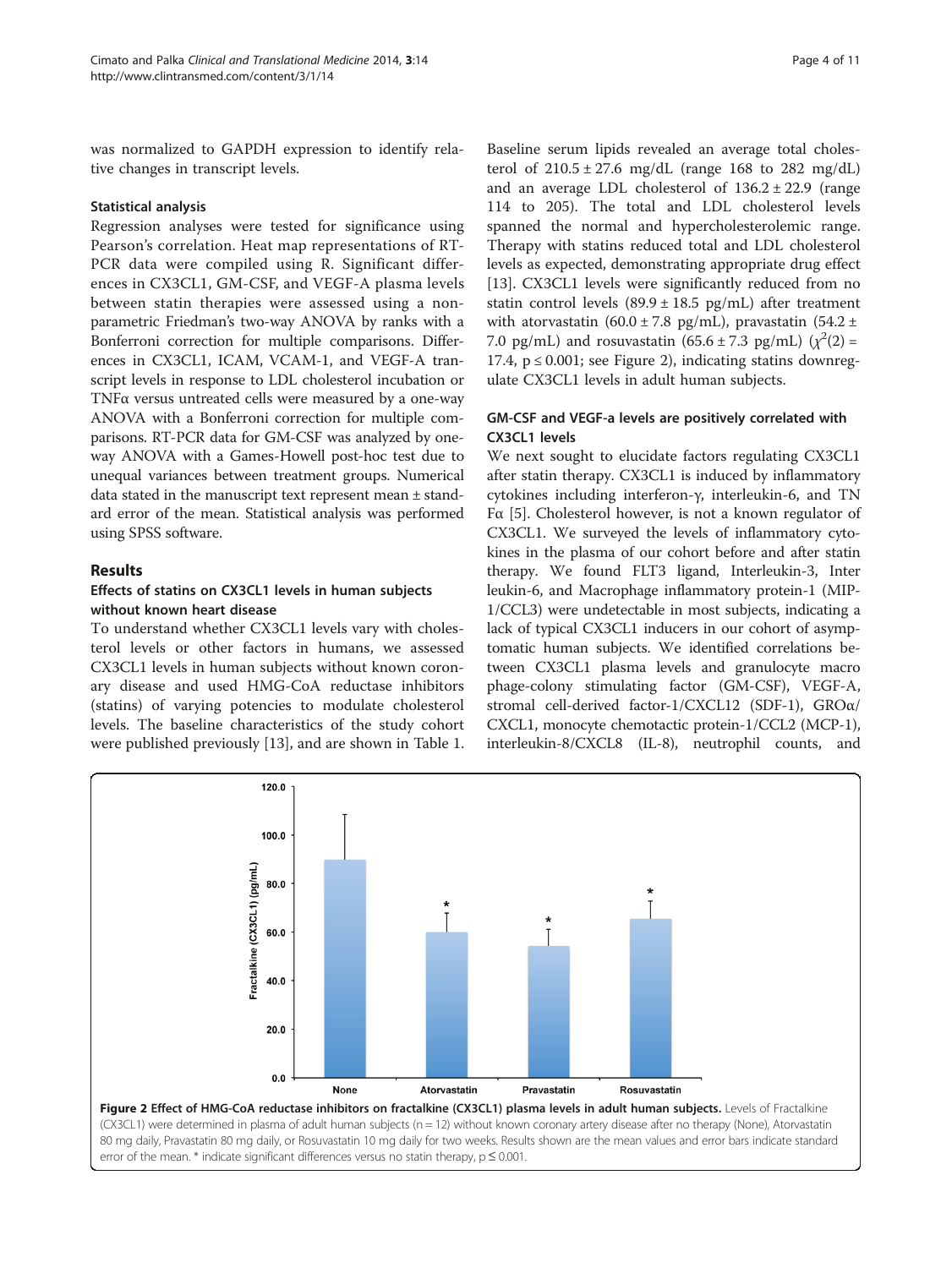<span id="page-3-0"></span>was normalized to GAPDH expression to identify relative changes in transcript levels.

# Statistical analysis

Regression analyses were tested for significance using Pearson's correlation. Heat map representations of RT-PCR data were compiled using R. Significant differences in CX3CL1, GM-CSF, and VEGF-A plasma levels between statin therapies were assessed using a nonparametric Friedman's two-way ANOVA by ranks with a Bonferroni correction for multiple comparisons. Differences in CX3CL1, ICAM, VCAM-1, and VEGF-A transcript levels in response to LDL cholesterol incubation or TNFα versus untreated cells were measured by a one-way ANOVA with a Bonferroni correction for multiple comparisons. RT-PCR data for GM-CSF was analyzed by oneway ANOVA with a Games-Howell post-hoc test due to unequal variances between treatment groups. Numerical data stated in the manuscript text represent mean ± standard error of the mean. Statistical analysis was performed using SPSS software.

# Results

# Effects of statins on CX3CL1 levels in human subjects without known heart disease

To understand whether CX3CL1 levels vary with cholesterol levels or other factors in humans, we assessed CX3CL1 levels in human subjects without known coronary disease and used HMG-CoA reductase inhibitors (statins) of varying potencies to modulate cholesterol levels. The baseline characteristics of the study cohort were published previously [\[13](#page-9-0)], and are shown in Table [1](#page-1-0).

Baseline serum lipids revealed an average total cholesterol of  $210.5 \pm 27.6$  mg/dL (range 168 to 282 mg/dL) and an average LDL cholesterol of  $136.2 \pm 22.9$  (range 114 to 205). The total and LDL cholesterol levels spanned the normal and hypercholesterolemic range. Therapy with statins reduced total and LDL cholesterol levels as expected, demonstrating appropriate drug effect [[13\]](#page-9-0). CX3CL1 levels were significantly reduced from no statin control levels  $(89.9 \pm 18.5 \text{ pg/mL})$  after treatment with atorvastatin (60.0  $\pm$  7.8 pg/mL), pravastatin (54.2  $\pm$ 7.0 pg/mL) and rosuvastatin  $(65.6 \pm 7.3 \text{ pg/mL})$   $(\chi^2(2) =$ 17.4,  $p \le 0.001$ ; see Figure 2), indicating statins downregulate CX3CL1 levels in adult human subjects.

# GM-CSF and VEGF-a levels are positively correlated with CX3CL1 levels

We next sought to elucidate factors regulating CX3CL1 after statin therapy. CX3CL1 is induced by inflammatory cytokines including interferon-γ, interleukin-6, and TN Fα [[5\]](#page-9-0). Cholesterol however, is not a known regulator of CX3CL1. We surveyed the levels of inflammatory cytokines in the plasma of our cohort before and after statin therapy. We found FLT3 ligand, Interleukin-3, Inter leukin-6, and Macrophage inflammatory protein-1 (MIP-1/CCL3) were undetectable in most subjects, indicating a lack of typical CX3CL1 inducers in our cohort of asymptomatic human subjects. We identified correlations between CX3CL1 plasma levels and granulocyte macro phage-colony stimulating factor (GM-CSF), VEGF-A, stromal cell-derived factor-1/CXCL12 (SDF-1), GROα/ CXCL1, monocyte chemotactic protein-1/CCL2 (MCP-1), interleukin-8/CXCL8 (IL-8), neutrophil counts, and

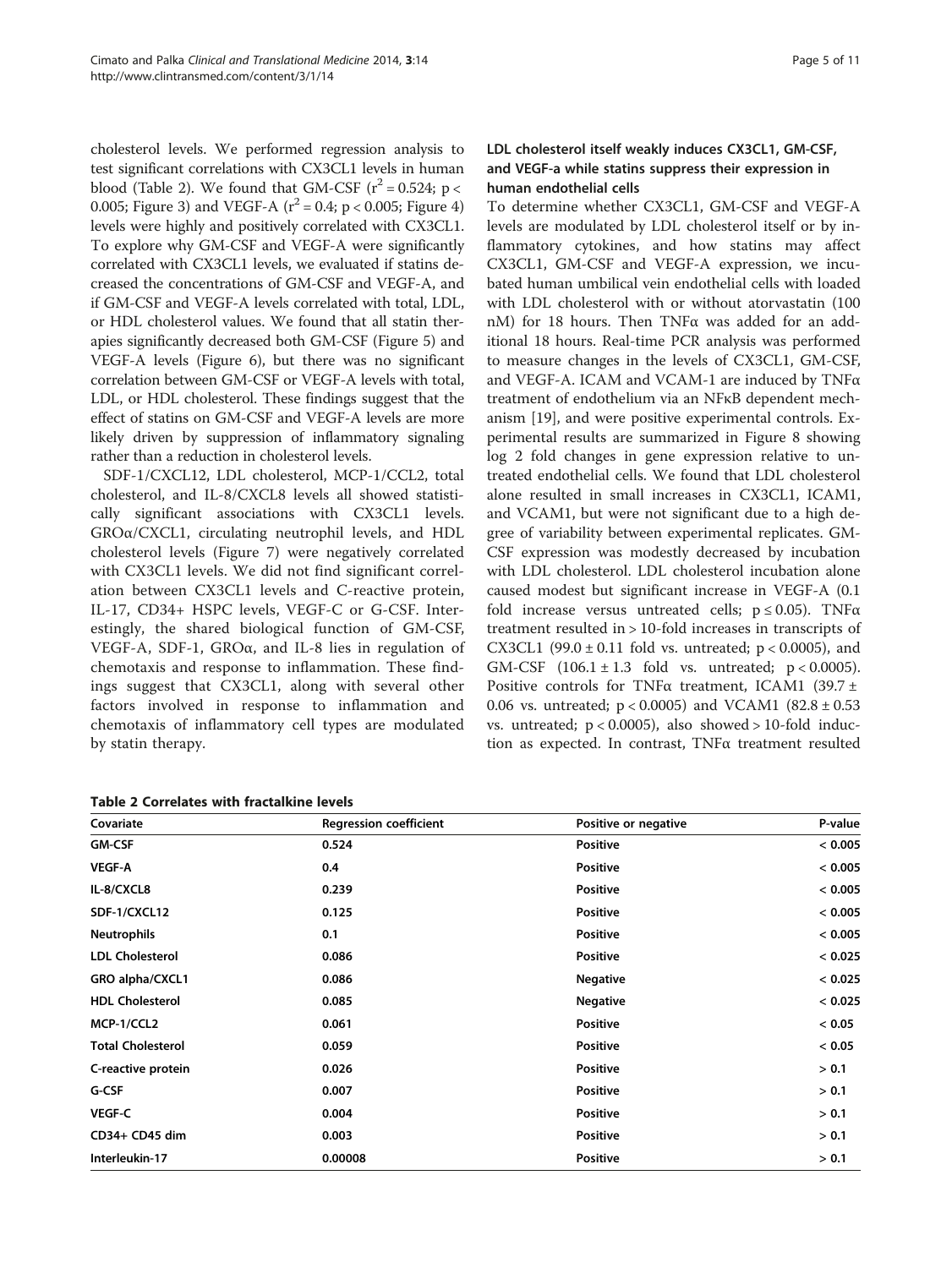cholesterol levels. We performed regression analysis to test significant correlations with CX3CL1 levels in human blood (Table 2). We found that GM-CSF ( $r^2$  = 0.524; p < 0.005; Figure [3](#page-5-0)) and VEGF-A  $(r^2 = 0.4; p < 0.005;$  Figure [4](#page-5-0)) levels were highly and positively correlated with CX3CL1. To explore why GM-CSF and VEGF-A were significantly correlated with CX3CL1 levels, we evaluated if statins decreased the concentrations of GM-CSF and VEGF-A, and if GM-CSF and VEGF-A levels correlated with total, LDL, or HDL cholesterol values. We found that all statin therapies significantly decreased both GM-CSF (Figure [5\)](#page-6-0) and VEGF-A levels (Figure [6\)](#page-6-0), but there was no significant correlation between GM-CSF or VEGF-A levels with total, LDL, or HDL cholesterol. These findings suggest that the effect of statins on GM-CSF and VEGF-A levels are more likely driven by suppression of inflammatory signaling rather than a reduction in cholesterol levels.

SDF-1/CXCL12, LDL cholesterol, MCP-1/CCL2, total cholesterol, and IL-8/CXCL8 levels all showed statistically significant associations with CX3CL1 levels. GROα/CXCL1, circulating neutrophil levels, and HDL cholesterol levels (Figure [7\)](#page-7-0) were negatively correlated with CX3CL1 levels. We did not find significant correlation between CX3CL1 levels and C-reactive protein, IL-17, CD34+ HSPC levels, VEGF-C or G-CSF. Interestingly, the shared biological function of GM-CSF, VEGF-A, SDF-1, GROα, and IL-8 lies in regulation of chemotaxis and response to inflammation. These findings suggest that CX3CL1, along with several other factors involved in response to inflammation and chemotaxis of inflammatory cell types are modulated by statin therapy.

# LDL cholesterol itself weakly induces CX3CL1, GM-CSF, and VEGF-a while statins suppress their expression in human endothelial cells

To determine whether CX3CL1, GM-CSF and VEGF-A levels are modulated by LDL cholesterol itself or by inflammatory cytokines, and how statins may affect CX3CL1, GM-CSF and VEGF-A expression, we incubated human umbilical vein endothelial cells with loaded with LDL cholesterol with or without atorvastatin (100 nM) for 18 hours. Then TNFα was added for an additional 18 hours. Real-time PCR analysis was performed to measure changes in the levels of CX3CL1, GM-CSF, and VEGF-A. ICAM and VCAM-1 are induced by TNFα treatment of endothelium via an NFκB dependent mechanism [[19](#page-9-0)], and were positive experimental controls. Experimental results are summarized in Figure [8](#page-7-0) showing log 2 fold changes in gene expression relative to untreated endothelial cells. We found that LDL cholesterol alone resulted in small increases in CX3CL1, ICAM1, and VCAM1, but were not significant due to a high degree of variability between experimental replicates. GM-CSF expression was modestly decreased by incubation with LDL cholesterol. LDL cholesterol incubation alone caused modest but significant increase in VEGF-A (0.1 fold increase versus untreated cells;  $p \le 0.05$ ). TNF $\alpha$ treatment resulted in > 10-fold increases in transcripts of CX3CL1 (99.0  $\pm$  0.11 fold vs. untreated; p < 0.0005), and GM-CSF  $(106.1 \pm 1.3 \text{ fold vs. untreated}; p < 0.0005)$ . Positive controls for TNFα treatment, ICAM1 (39.7 ± 0.06 vs. untreated;  $p < 0.0005$ ) and VCAM1 (82.8 ± 0.53 vs. untreated;  $p < 0.0005$ ), also showed > 10-fold induction as expected. In contrast, TNFα treatment resulted

| Covariate                | <b>Regression coefficient</b> | Positive or negative | P-value |  |  |  |
|--------------------------|-------------------------------|----------------------|---------|--|--|--|
| <b>GM-CSF</b>            | 0.524                         | <b>Positive</b>      | < 0.005 |  |  |  |
| <b>VEGF-A</b>            | 0.4                           | <b>Positive</b>      | < 0.005 |  |  |  |
| IL-8/CXCL8               | 0.239                         | <b>Positive</b>      | < 0.005 |  |  |  |
| SDF-1/CXCL12             | 0.125                         | <b>Positive</b>      | < 0.005 |  |  |  |
| <b>Neutrophils</b>       | 0.1                           | <b>Positive</b>      | < 0.005 |  |  |  |
| <b>LDL Cholesterol</b>   | 0.086                         | <b>Positive</b>      | < 0.025 |  |  |  |
| GRO alpha/CXCL1          | 0.086                         | <b>Negative</b>      | < 0.025 |  |  |  |
| <b>HDL Cholesterol</b>   | 0.085                         | <b>Negative</b>      | < 0.025 |  |  |  |
| MCP-1/CCL2               | 0.061                         | <b>Positive</b>      | < 0.05  |  |  |  |
| <b>Total Cholesterol</b> | 0.059                         | <b>Positive</b>      | < 0.05  |  |  |  |
| C-reactive protein       | 0.026                         | <b>Positive</b>      | > 0.1   |  |  |  |
| G-CSF                    | 0.007                         | <b>Positive</b>      | > 0.1   |  |  |  |
| <b>VEGF-C</b>            | 0.004                         | <b>Positive</b>      | > 0.1   |  |  |  |
| CD34+ CD45 dim           | 0.003                         | <b>Positive</b>      | > 0.1   |  |  |  |
| Interleukin-17           | 0.00008                       | <b>Positive</b>      | > 0.1   |  |  |  |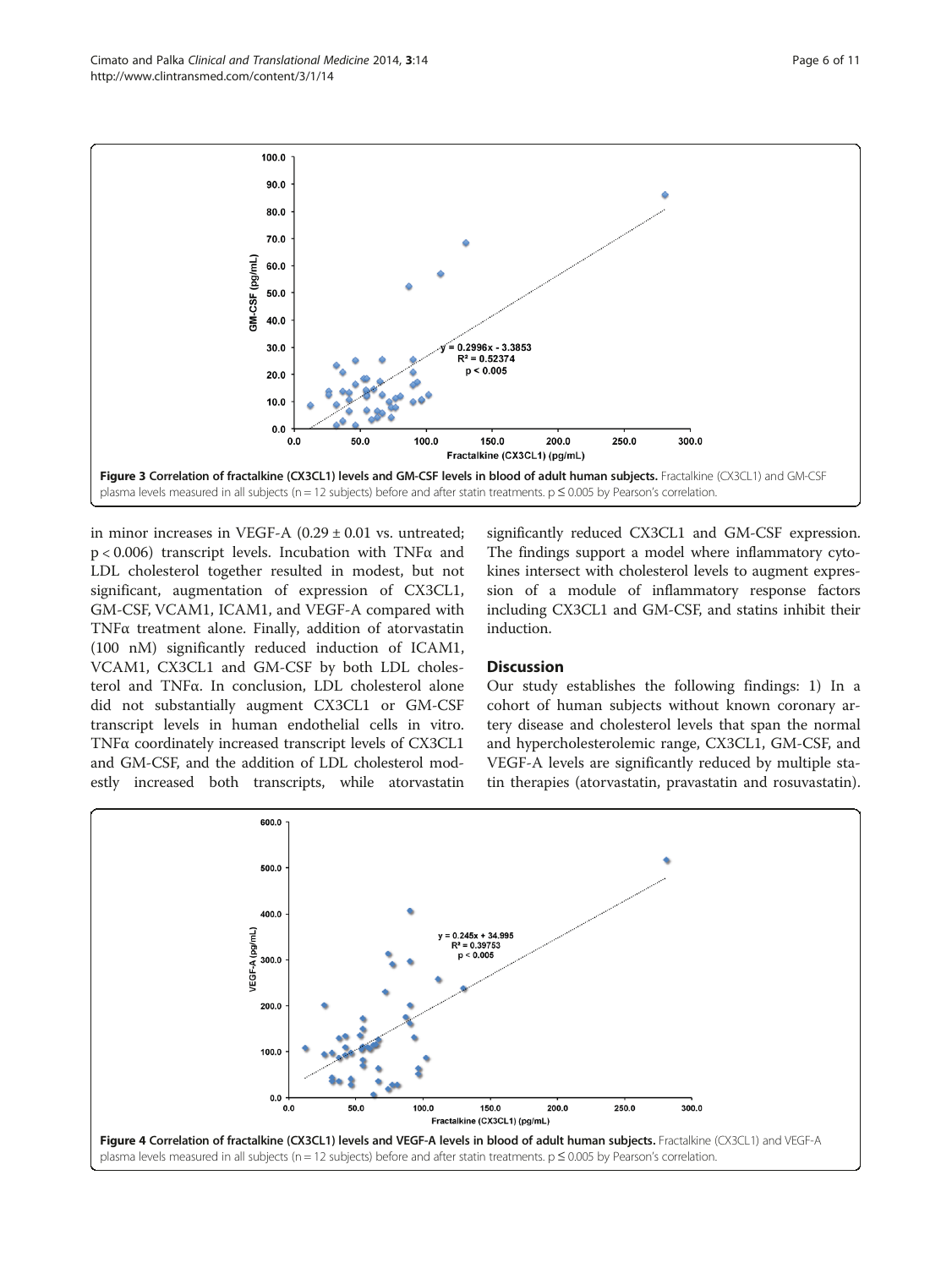in minor increases in VEGF-A  $(0.29 \pm 0.01$  vs. untreated; p < 0.006) transcript levels. Incubation with TNFα and LDL cholesterol together resulted in modest, but not significant, augmentation of expression of CX3CL1, GM-CSF, VCAM1, ICAM1, and VEGF-A compared with TNFα treatment alone. Finally, addition of atorvastatin (100 nM) significantly reduced induction of ICAM1, VCAM1, CX3CL1 and GM-CSF by both LDL cholesterol and TNFα. In conclusion, LDL cholesterol alone did not substantially augment CX3CL1 or GM-CSF transcript levels in human endothelial cells in vitro. TNFα coordinately increased transcript levels of CX3CL1 and GM-CSF, and the addition of LDL cholesterol modestly increased both transcripts, while atorvastatin

significantly reduced CX3CL1 and GM-CSF expression. The findings support a model where inflammatory cytokines intersect with cholesterol levels to augment expression of a module of inflammatory response factors including CX3CL1 and GM-CSF, and statins inhibit their induction.

# **Discussion**

Our study establishes the following findings: 1) In a cohort of human subjects without known coronary artery disease and cholesterol levels that span the normal and hypercholesterolemic range, CX3CL1, GM-CSF, and VEGF-A levels are significantly reduced by multiple statin therapies (atorvastatin, pravastatin and rosuvastatin).



<span id="page-5-0"></span>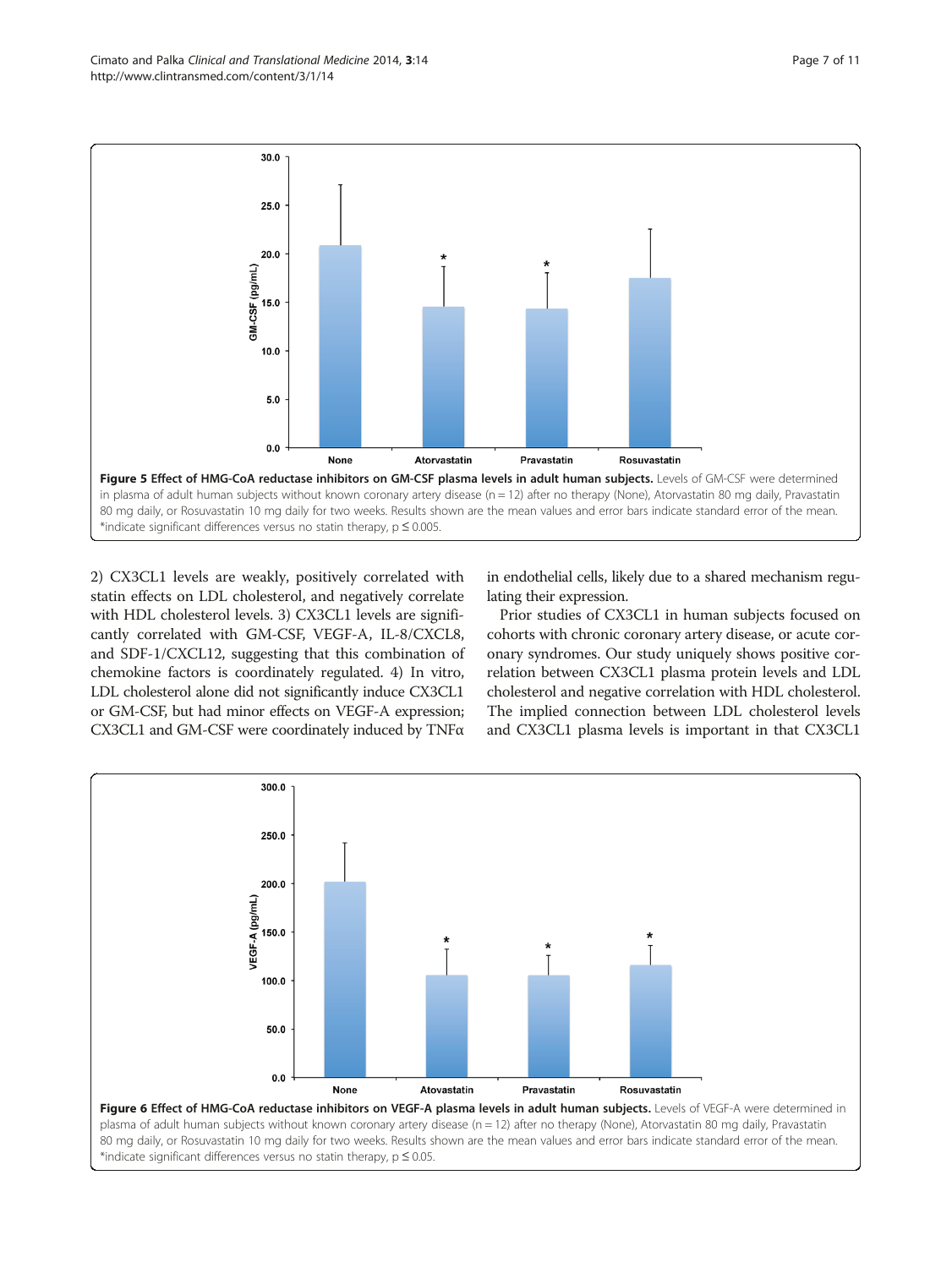<span id="page-6-0"></span>

2) CX3CL1 levels are weakly, positively correlated with statin effects on LDL cholesterol, and negatively correlate with HDL cholesterol levels. 3) CX3CL1 levels are significantly correlated with GM-CSF, VEGF-A, IL-8/CXCL8, and SDF-1/CXCL12, suggesting that this combination of chemokine factors is coordinately regulated. 4) In vitro, LDL cholesterol alone did not significantly induce CX3CL1 or GM-CSF, but had minor effects on VEGF-A expression; CX3CL1 and GM-CSF were coordinately induced by TNFα

in endothelial cells, likely due to a shared mechanism regulating their expression.

Prior studies of CX3CL1 in human subjects focused on cohorts with chronic coronary artery disease, or acute coronary syndromes. Our study uniquely shows positive correlation between CX3CL1 plasma protein levels and LDL cholesterol and negative correlation with HDL cholesterol. The implied connection between LDL cholesterol levels and CX3CL1 plasma levels is important in that CX3CL1

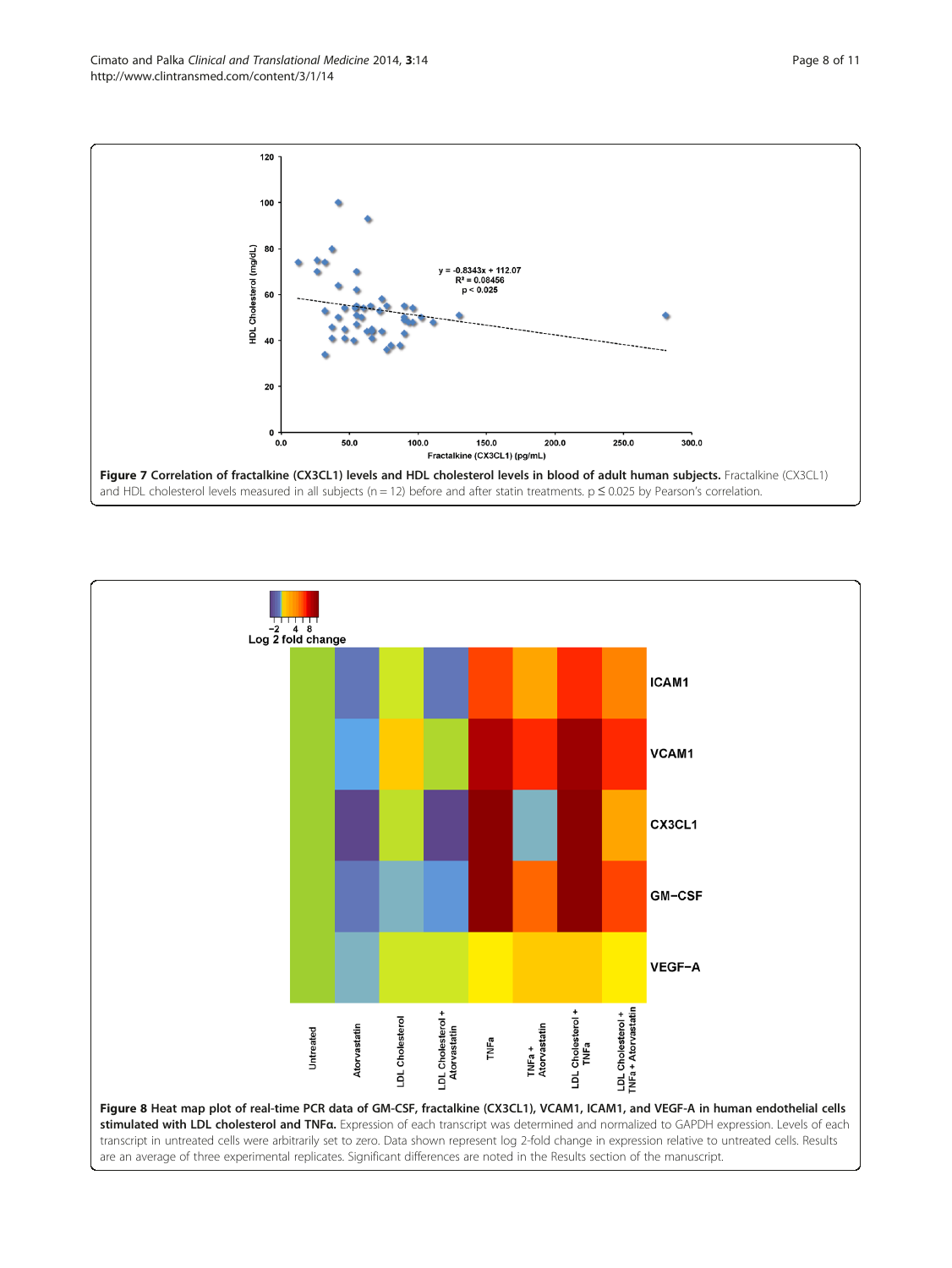<span id="page-7-0"></span>Cimato and Palka Clinical and Translational Medicine 2014, 3:14 Page 8 of 11 http://www.clintransmed.com/content/3/1/14





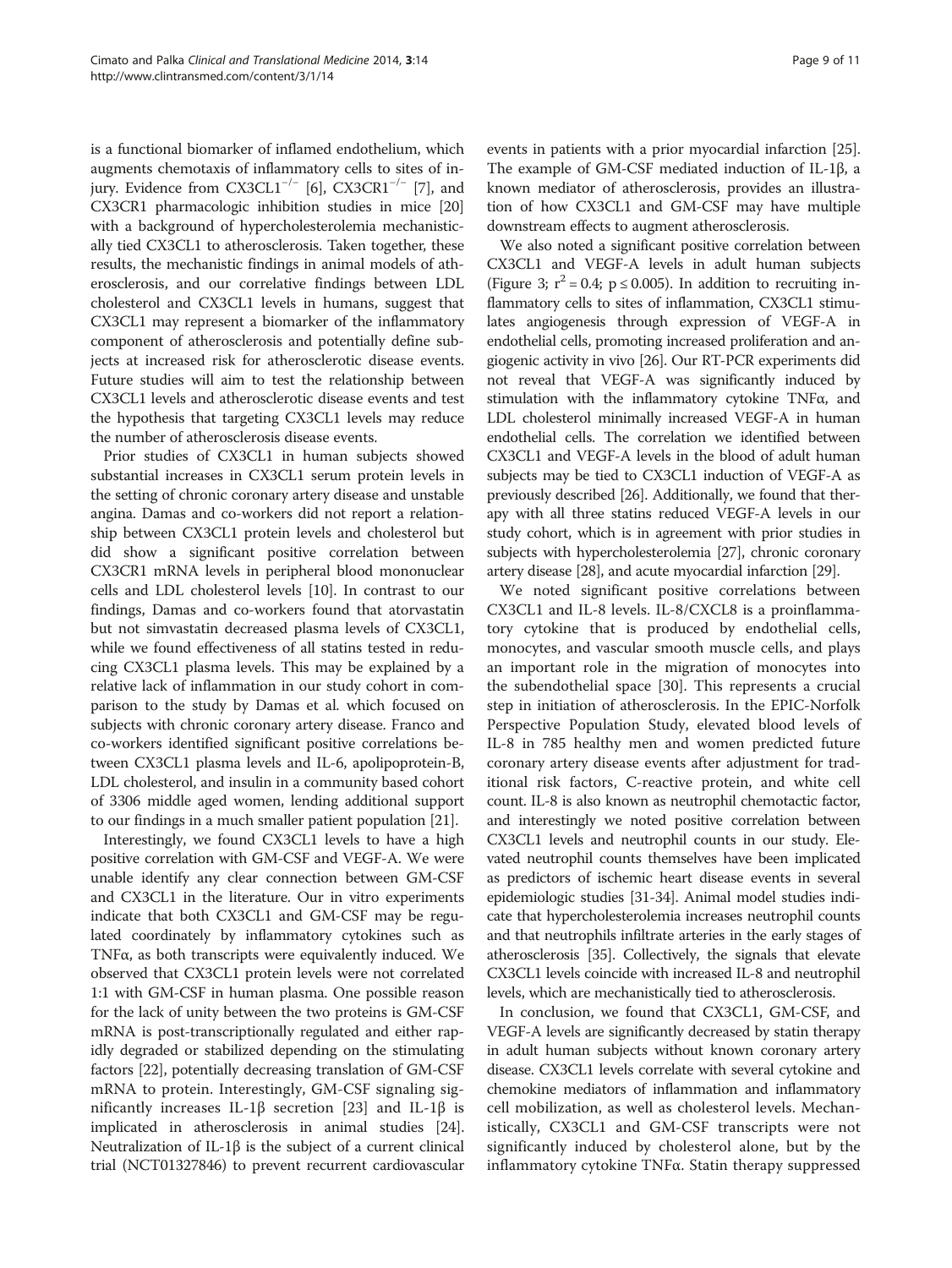is a functional biomarker of inflamed endothelium, which augments chemotaxis of inflammatory cells to sites of in-jury. Evidence from CX3CL1<sup>-/-</sup> [\[6](#page-9-0)], CX3CR1<sup>-/-</sup> [[7\]](#page-9-0), and CX3CR1 pharmacologic inhibition studies in mice [[20](#page-9-0)] with a background of hypercholesterolemia mechanistically tied CX3CL1 to atherosclerosis. Taken together, these results, the mechanistic findings in animal models of atherosclerosis, and our correlative findings between LDL cholesterol and CX3CL1 levels in humans, suggest that CX3CL1 may represent a biomarker of the inflammatory component of atherosclerosis and potentially define subjects at increased risk for atherosclerotic disease events. Future studies will aim to test the relationship between CX3CL1 levels and atherosclerotic disease events and test the hypothesis that targeting CX3CL1 levels may reduce the number of atherosclerosis disease events.

Prior studies of CX3CL1 in human subjects showed substantial increases in CX3CL1 serum protein levels in the setting of chronic coronary artery disease and unstable angina. Damas and co-workers did not report a relationship between CX3CL1 protein levels and cholesterol but did show a significant positive correlation between CX3CR1 mRNA levels in peripheral blood mononuclear cells and LDL cholesterol levels [\[10\]](#page-9-0). In contrast to our findings, Damas and co-workers found that atorvastatin but not simvastatin decreased plasma levels of CX3CL1, while we found effectiveness of all statins tested in reducing CX3CL1 plasma levels. This may be explained by a relative lack of inflammation in our study cohort in comparison to the study by Damas et al. which focused on subjects with chronic coronary artery disease. Franco and co-workers identified significant positive correlations between CX3CL1 plasma levels and IL-6, apolipoprotein-B, LDL cholesterol, and insulin in a community based cohort of 3306 middle aged women, lending additional support to our findings in a much smaller patient population [\[21\]](#page-10-0).

Interestingly, we found CX3CL1 levels to have a high positive correlation with GM-CSF and VEGF-A. We were unable identify any clear connection between GM-CSF and CX3CL1 in the literature. Our in vitro experiments indicate that both CX3CL1 and GM-CSF may be regulated coordinately by inflammatory cytokines such as TNFα, as both transcripts were equivalently induced. We observed that CX3CL1 protein levels were not correlated 1:1 with GM-CSF in human plasma. One possible reason for the lack of unity between the two proteins is GM-CSF mRNA is post-transcriptionally regulated and either rapidly degraded or stabilized depending on the stimulating factors [[22](#page-10-0)], potentially decreasing translation of GM-CSF mRNA to protein. Interestingly, GM-CSF signaling sig-nificantly increases IL-1β secretion [\[23](#page-10-0)] and IL-1β is implicated in atherosclerosis in animal studies [[24](#page-10-0)]. Neutralization of IL-1β is the subject of a current clinical trial (NCT01327846) to prevent recurrent cardiovascular events in patients with a prior myocardial infarction [[25](#page-10-0)]. The example of GM-CSF mediated induction of IL-1β, a known mediator of atherosclerosis, provides an illustration of how CX3CL1 and GM-CSF may have multiple downstream effects to augment atherosclerosis.

We also noted a significant positive correlation between CX3CL1 and VEGF-A levels in adult human subjects (Figure [3](#page-5-0);  $r^2 = 0.4$ ;  $p \le 0.005$ ). In addition to recruiting inflammatory cells to sites of inflammation, CX3CL1 stimulates angiogenesis through expression of VEGF-A in endothelial cells, promoting increased proliferation and angiogenic activity in vivo [\[26](#page-10-0)]. Our RT-PCR experiments did not reveal that VEGF-A was significantly induced by stimulation with the inflammatory cytokine TNFα, and LDL cholesterol minimally increased VEGF-A in human endothelial cells. The correlation we identified between CX3CL1 and VEGF-A levels in the blood of adult human subjects may be tied to CX3CL1 induction of VEGF-A as previously described [\[26](#page-10-0)]. Additionally, we found that therapy with all three statins reduced VEGF-A levels in our study cohort, which is in agreement with prior studies in subjects with hypercholesterolemia [[27](#page-10-0)], chronic coronary artery disease [\[28\]](#page-10-0), and acute myocardial infarction [\[29\]](#page-10-0).

We noted significant positive correlations between CX3CL1 and IL-8 levels. IL-8/CXCL8 is a proinflammatory cytokine that is produced by endothelial cells, monocytes, and vascular smooth muscle cells, and plays an important role in the migration of monocytes into the subendothelial space [[30\]](#page-10-0). This represents a crucial step in initiation of atherosclerosis. In the EPIC-Norfolk Perspective Population Study, elevated blood levels of IL-8 in 785 healthy men and women predicted future coronary artery disease events after adjustment for traditional risk factors, C-reactive protein, and white cell count. IL-8 is also known as neutrophil chemotactic factor, and interestingly we noted positive correlation between CX3CL1 levels and neutrophil counts in our study. Elevated neutrophil counts themselves have been implicated as predictors of ischemic heart disease events in several epidemiologic studies [\[31-34\]](#page-10-0). Animal model studies indicate that hypercholesterolemia increases neutrophil counts and that neutrophils infiltrate arteries in the early stages of atherosclerosis [[35](#page-10-0)]. Collectively, the signals that elevate CX3CL1 levels coincide with increased IL-8 and neutrophil levels, which are mechanistically tied to atherosclerosis.

In conclusion, we found that CX3CL1, GM-CSF, and VEGF-A levels are significantly decreased by statin therapy in adult human subjects without known coronary artery disease. CX3CL1 levels correlate with several cytokine and chemokine mediators of inflammation and inflammatory cell mobilization, as well as cholesterol levels. Mechanistically, CX3CL1 and GM-CSF transcripts were not significantly induced by cholesterol alone, but by the inflammatory cytokine TNFα. Statin therapy suppressed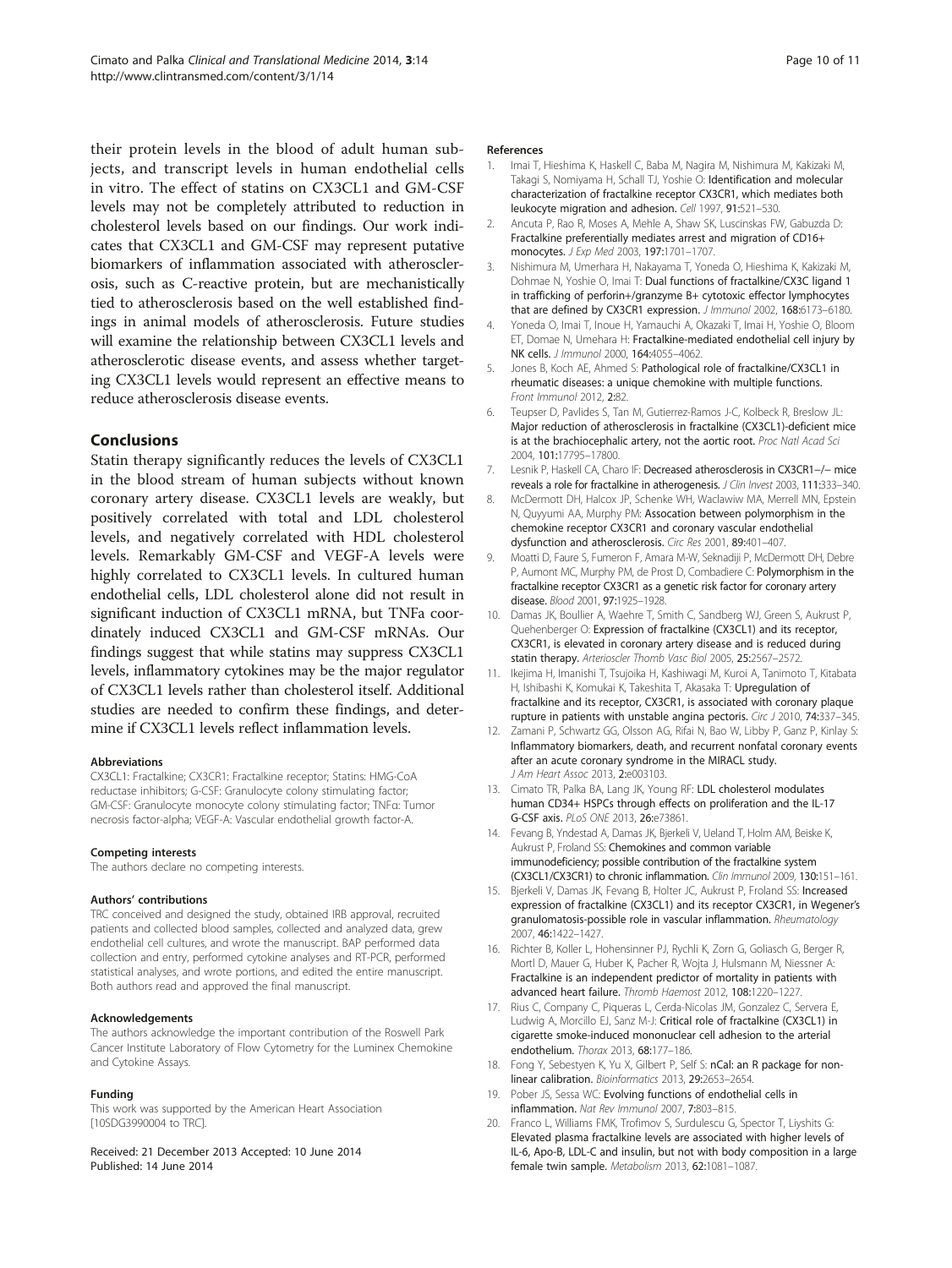<span id="page-9-0"></span>their protein levels in the blood of adult human subjects, and transcript levels in human endothelial cells in vitro. The effect of statins on CX3CL1 and GM-CSF levels may not be completely attributed to reduction in cholesterol levels based on our findings. Our work indicates that CX3CL1 and GM-CSF may represent putative biomarkers of inflammation associated with atherosclerosis, such as C-reactive protein, but are mechanistically tied to atherosclerosis based on the well established findings in animal models of atherosclerosis. Future studies will examine the relationship between CX3CL1 levels and atherosclerotic disease events, and assess whether targeting CX3CL1 levels would represent an effective means to reduce atherosclerosis disease events.

# Conclusions

Statin therapy significantly reduces the levels of CX3CL1 in the blood stream of human subjects without known coronary artery disease. CX3CL1 levels are weakly, but positively correlated with total and LDL cholesterol levels, and negatively correlated with HDL cholesterol levels. Remarkably GM-CSF and VEGF-A levels were highly correlated to CX3CL1 levels. In cultured human endothelial cells, LDL cholesterol alone did not result in significant induction of CX3CL1 mRNA, but TNFa coordinately induced CX3CL1 and GM-CSF mRNAs. Our findings suggest that while statins may suppress CX3CL1 levels, inflammatory cytokines may be the major regulator of CX3CL1 levels rather than cholesterol itself. Additional studies are needed to confirm these findings, and determine if CX3CL1 levels reflect inflammation levels.

#### **Abbreviations**

CX3CL1: Fractalkine; CX3CR1: Fractalkine receptor; Statins: HMG-CoA reductase inhibitors; G-CSF: Granulocyte colony stimulating factor; GM-CSF: Granulocyte monocyte colony stimulating factor; TNFα: Tumor necrosis factor-alpha; VEGF-A: Vascular endothelial growth factor-A.

#### Competing interests

The authors declare no competing interests.

#### Authors' contributions

TRC conceived and designed the study, obtained IRB approval, recruited patients and collected blood samples, collected and analyzed data, grew endothelial cell cultures, and wrote the manuscript. BAP performed data collection and entry, performed cytokine analyses and RT-PCR, performed statistical analyses, and wrote portions, and edited the entire manuscript. Both authors read and approved the final manuscript.

#### Acknowledgements

The authors acknowledge the important contribution of the Roswell Park Cancer Institute Laboratory of Flow Cytometry for the Luminex Chemokine and Cytokine Assays.

#### Funding

This work was supported by the American Heart Association [10SDG3990004 to TRC].

Received: 21 December 2013 Accepted: 10 June 2014 Published: 14 June 2014

#### References

- 1. Imai T, Hieshima K, Haskell C, Baba M, Nagira M, Nishimura M, Kakizaki M, Takagi S, Nomiyama H, Schall TJ, Yoshie O: Identification and molecular characterization of fractalkine receptor CX3CR1, which mediates both leukocyte migration and adhesion. Cell 1997, 91:521–530.
- 2. Ancuta P, Rao R, Moses A, Mehle A, Shaw SK, Luscinskas FW, Gabuzda D: Fractalkine preferentially mediates arrest and migration of CD16+ monocytes. J Exp Med 2003, 197:1701–1707.
- 3. Nishimura M, Umerhara H, Nakayama T, Yoneda O, Hieshima K, Kakizaki M, Dohmae N, Yoshie O, Imai T: Dual functions of fractalkine/CX3C ligand 1 in trafficking of perforin+/granzyme B+ cytotoxic effector lymphocytes that are defined by CX3CR1 expression. *Hmmunol* 2002, 168:6173-6180.
- 4. Yoneda O, Imai T, Inoue H, Yamauchi A, Okazaki T, Imai H, Yoshie O, Bloom ET, Domae N, Umehara H: Fractalkine-mediated endothelial cell injury by NK cells. J Immunol 2000, 164:4055–4062.
- 5. Jones B, Koch AE, Ahmed S: Pathological role of fractalkine/CX3CL1 in rheumatic diseases: a unique chemokine with multiple functions. Front Immunol 2012, 2:82.
- 6. Teupser D, Pavlides S, Tan M, Gutierrez-Ramos J-C, Kolbeck R, Breslow JL: Major reduction of atherosclerosis in fractalkine (CX3CL1)-deficient mice is at the brachiocephalic artery, not the aortic root. Proc Natl Acad Sci 2004, 101:17795–17800.
- 7. Lesnik P, Haskell CA, Charo IF: Decreased atherosclerosis in CX3CR1−/− mice reveals a role for fractalkine in atherogenesis. J Clin Invest 2003, 111:333–340.
- 8. McDermott DH, Halcox JP, Schenke WH, Waclawiw MA, Merrell MN, Epstein N, Quyyumi AA, Murphy PM: Assocation between polymorphism in the chemokine receptor CX3CR1 and coronary vascular endothelial dysfunction and atherosclerosis. Circ Res 2001, 89:401–407.
- 9. Moatti D, Faure S, Fumeron F, Amara M-W, Seknadiji P, McDermott DH, Debre P, Aumont MC, Murphy PM, de Prost D, Combadiere C: Polymorphism in the fractalkine receptor CX3CR1 as a genetic risk factor for coronary artery disease. Blood 2001, 97:1925–1928.
- 10. Damas JK, Boullier A, Waehre T, Smith C, Sandberg WJ, Green S, Aukrust P, Quehenberger O: Expression of fractalkine (CX3CL1) and its receptor, CX3CR1, is elevated in coronary artery disease and is reduced during statin therapy. Arterioscler Thomb Vasc Biol 2005, 25:2567–2572.
- 11. Ikejima H, Imanishi T, Tsujoika H, Kashiwagi M, Kuroi A, Tanimoto T, Kitabata H, Ishibashi K, Komukai K, Takeshita T, Akasaka T: Upregulation of fractalkine and its receptor, CX3CR1, is associated with coronary plaque rupture in patients with unstable angina pectoris. Circ J 2010, 74:337-345.
- 12. Zamani P, Schwartz GG, Olsson AG, Rifai N, Bao W, Libby P, Ganz P, Kinlay S: Inflammatory biomarkers, death, and recurrent nonfatal coronary events after an acute coronary syndrome in the MIRACL study. J Am Heart Assoc 2013, 2:e003103.
- 13. Cimato TR, Palka BA, Lang JK, Young RF: LDL cholesterol modulates human CD34+ HSPCs through effects on proliferation and the IL-17 G-CSF axis. PLoS ONE 2013, 26:e73861.
- 14. Fevang B, Yndestad A, Damas JK, Bjerkeli V, Ueland T, Holm AM, Beiske K, Aukrust P, Froland SS: Chemokines and common variable immunodeficiency; possible contribution of the fractalkine system (CX3CL1/CX3CR1) to chronic inflammation. Clin Immunol 2009, 130:151–161.
- 15. Bjerkeli V, Damas JK, Fevang B, Holter JC, Aukrust P, Froland SS: Increased expression of fractalkine (CX3CL1) and its receptor CX3CR1, in Wegener's granulomatosis-possible role in vascular inflammation. Rheumatology 2007, 46:1422–1427.
- 16. Richter B, Koller L, Hohensinner PJ, Rychli K, Zorn G, Goliasch G, Berger R, Mortl D, Mauer G, Huber K, Pacher R, Wojta J, Hulsmann M, Niessner A: Fractalkine is an independent predictor of mortality in patients with advanced heart failure. Thromb Haemost 2012, 108:1220–1227.
- 17. Rius C, Company C, Piqueras L, Cerda-Nicolas JM, Gonzalez C, Servera E, Ludwig A, Morcillo EJ, Sanz M-J: Critical role of fractalkine (CX3CL1) in cigarette smoke-induced mononuclear cell adhesion to the arterial endothelium. Thorax 2013, 68:177–186.
- 18. Fong Y, Sebestyen K, Yu X, Gilbert P, Self S: nCal: an R package for nonlinear calibration. Bioinformatics 2013, 29:2653–2654.
- 19. Pober JS, Sessa WC: Evolving functions of endothelial cells in inflammation. Nat Rev Immunol 2007, 7:803–815.
- 20. Franco L, Williams FMK, Trofimov S, Surdulescu G, Spector T, Liyshits G: Elevated plasma fractalkine levels are associated with higher levels of IL-6, Apo-B, LDL-C and insulin, but not with body composition in a large female twin sample. Metabolism 2013, 62:1081–1087.